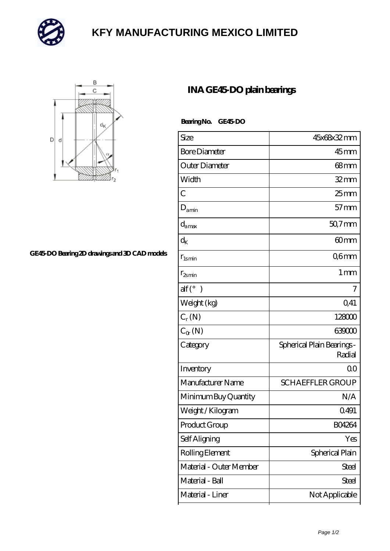

## **[KFY MANUFACTURING MEXICO LIMITED](https://mailemotion.tv)**



## **[GE45-DO Bearing 2D drawings and 3D CAD models](https://mailemotion.tv/pic-415144.html)**

## **[INA GE45-DO plain bearings](https://mailemotion.tv/az-415144-ina-ge45-do-plain-bearings.html)**

 **Bearing No. GE45-DO**

| Size                     | 45x68x32mm                           |
|--------------------------|--------------------------------------|
| <b>Bore Diameter</b>     | $45$ mm                              |
| Outer Diameter           | $68$ mm                              |
| Width                    | $32$ mm                              |
| $\overline{C}$           | $25 \text{mm}$                       |
|                          | $57$ mm                              |
| $D_{\text{amin}}$        |                                      |
| $d_{\text{amax}}$        | $507$ mm                             |
| $\rm{d}_K$               | 60 <sub>mm</sub>                     |
| $r_{lsmin}$              | Q6mm                                 |
| $r_{2smin}$              | $1 \,\mathrm{mm}$                    |
| $\text{alf}({}^{\circ})$ | 7                                    |
| Weight (kg)              | 0,41                                 |
| $C_r(N)$                 | 128000                               |
| $C_{\alpha}(\mathbb{N})$ | 639000                               |
| Category                 | Spherical Plain Bearings -<br>Radial |
| Inventory                | QΟ                                   |
| Manufacturer Name        | <b>SCHAEFFLER GROUP</b>              |
| Minimum Buy Quantity     | N/A                                  |
| Weight / Kilogram        | 0491                                 |
| Product Group            | <b>BO4264</b>                        |
| Self Aligning            | Yes                                  |
| Rolling Element          | Spherical Plain                      |
| Material - Outer Member  | Steel                                |
| Material - Ball          | Steel                                |
| Material - Liner         | Not Applicable                       |
|                          |                                      |